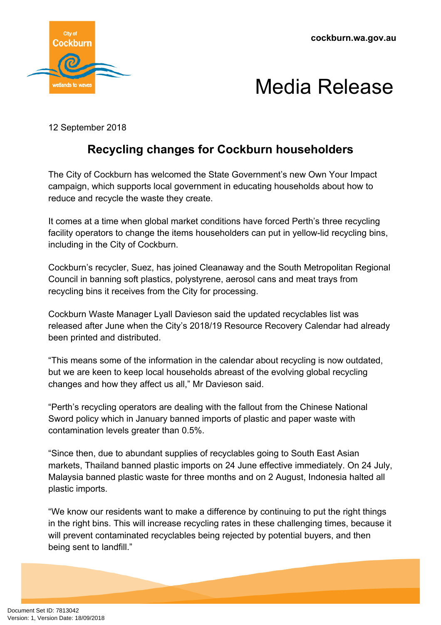

## Media Release

12 September 2018

## **Recycling changes for Cockburn householders**

The City of Cockburn has welcomed the State Government's new Own Your Impact campaign, which supports local government in educating households about how to reduce and recycle the waste they create.

It comes at a time when global market conditions have forced Perth's three recycling facility operators to change the items householders can put in yellow-lid recycling bins, including in the City of Cockburn.

Cockburn's recycler, Suez, has joined Cleanaway and the South Metropolitan Regional Council in banning soft plastics, polystyrene, aerosol cans and meat trays from recycling bins it receives from the City for processing.

Cockburn Waste Manager Lyall Davieson said the updated recyclables list was released after June when the City's 2018/19 Resource Recovery Calendar had already been printed and distributed.

"This means some of the information in the calendar about recycling is now outdated, but we are keen to keep local households abreast of the evolving global recycling changes and how they affect us all," Mr Davieson said.

"Perth's recycling operators are dealing with the fallout from the Chinese National Sword policy which in January banned imports of plastic and paper waste with contamination levels greater than 0.5%.

"Since then, due to abundant supplies of recyclables going to South East Asian markets, Thailand banned plastic imports on 24 June effective immediately. On 24 July, Malaysia banned plastic waste for three months and on 2 August, Indonesia halted all plastic imports.

"We know our residents want to make a difference by continuing to put the right things in the right bins. This will increase recycling rates in these challenging times, because it will prevent contaminated recyclables being rejected by potential buyers, and then being sent to landfill."

Document Set ID: 7813042<br>Version: 1, Version Date: 18/09/2018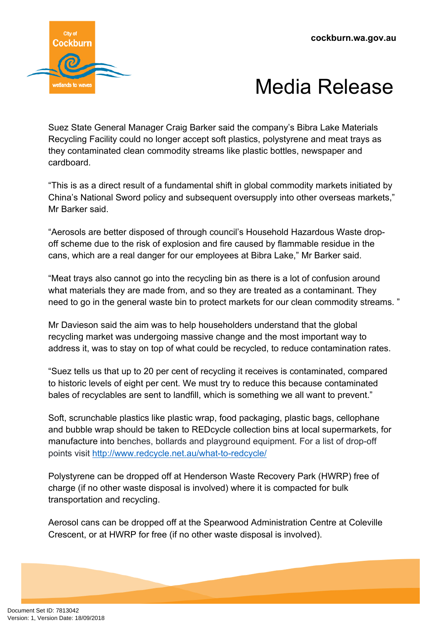

## Media Release

Suez State General Manager Craig Barker said the company's Bibra Lake Materials Recycling Facility could no longer accept soft plastics, polystyrene and meat trays as they contaminated clean commodity streams like plastic bottles, newspaper and cardboard.

"This is as a direct result of a fundamental shift in global commodity markets initiated by China's National Sword policy and subsequent oversupply into other overseas markets," Mr Barker said.

"Aerosols are better disposed of through council's Household Hazardous Waste dropoff scheme due to the risk of explosion and fire caused by flammable residue in the cans, which are a real danger for our employees at Bibra Lake," Mr Barker said.

"Meat trays also cannot go into the recycling bin as there is a lot of confusion around what materials they are made from, and so they are treated as a contaminant. They need to go in the general waste bin to protect markets for our clean commodity streams. "

Mr Davieson said the aim was to help householders understand that the global recycling market was undergoing massive change and the most important way to address it, was to stay on top of what could be recycled, to reduce contamination rates.

"Suez tells us that up to 20 per cent of recycling it receives is contaminated, compared to historic levels of eight per cent. We must try to reduce this because contaminated bales of recyclables are sent to landfill, which is something we all want to prevent."

Soft, scrunchable plastics like plastic wrap, food packaging, plastic bags, cellophane and bubble wrap should be taken to REDcycle collection bins at local supermarkets, for manufacture into benches, bollards and playground equipment. For a list of drop-off points visit <http://www.redcycle.net.au/what-to-redcycle/>

Polystyrene can be dropped off at Henderson Waste Recovery Park (HWRP) free of charge (if no other waste disposal is involved) where it is compacted for bulk transportation and recycling.

Aerosol cans can be dropped off at the Spearwood Administration Centre at Coleville Crescent, or at HWRP for free (if no other waste disposal is involved).